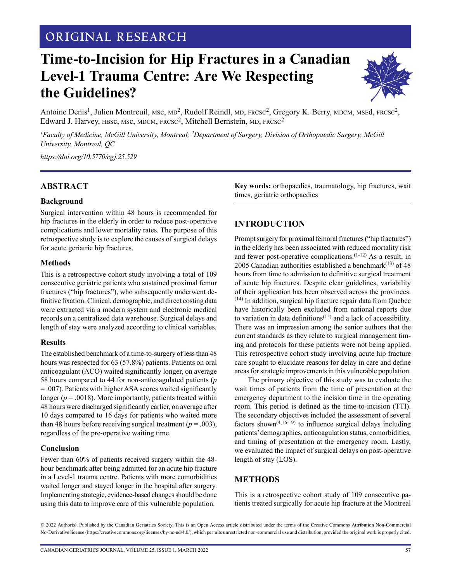# **ORIGINAL RESEARCH**

# **Time-to-Incision for Hip Fractures in a Canadian Level-1 Trauma Centre: Are We Respecting the Guidelines?**



Antoine Denis<sup>1</sup>, Julien Montreuil, MSc, MD<sup>2</sup>, Rudolf Reindl, MD, FRCSC<sup>2</sup>, Gregory K. Berry, MDCM, MSEd, FRCSC<sup>2</sup>, Edward J. Harvey, HBSc, MSc, MDCM, FRCSC<sup>2</sup>, Mitchell Bernstein, MD, FRCSC<sup>2</sup>

*1 Faculty of Medicine, McGill University, Montreal; 2Department of Surgery, Division of Orthopaedic Surgery, McGill University, Montreal, QC*

*<https://doi.org/10.5770/cgj.25.529>*

#### **ABSTRACT**

#### **Background**

Surgical intervention within 48 hours is recommended for hip fractures in the elderly in order to reduce post-operative complications and lower mortality rates. The purpose of this retrospective study is to explore the causes of surgical delays for acute geriatric hip fractures.

#### **Methods**

This is a retrospective cohort study involving a total of 109 consecutive geriatric patients who sustained proximal femur fractures ("hip fractures"), who subsequently underwent definitive fixation. Clinical, demographic, and direct costing data were extracted via a modern system and electronic medical records on a centralized data warehouse. Surgical delays and length of stay were analyzed according to clinical variables.

#### **Results**

The established benchmark of a time-to-surgery of less than 48 hours was respected for 63 (57.8%) patients. Patients on oral anticoagulant (ACO) waited significantly longer, on average 58 hours compared to 44 for non-anticoagulated patients (*p* = .007). Patients with higher ASA scores waited significantly longer ( $p = .0018$ ). More importantly, patients treated within 48 hours were discharged significantly earlier, on average after 10 days compared to 16 days for patients who waited more than 48 hours before receiving surgical treatment ( $p = .003$ ), regardless of the pre-operative waiting time.

#### **Conclusion**

Fewer than 60% of patients received surgery within the 48 hour benchmark after being admitted for an acute hip fracture in a Level-1 trauma centre. Patients with more comorbidities waited longer and stayed longer in the hospital after surgery. Implementing strategic, evidence-based changes should be done using this data to improve care of this vulnerable population.

**Key words:** orthopaedics, traumatology, hip fractures, wait times, geriatric orthopaedics

## **INTRODUCTION**

Prompt surgery for proximal femoral fractures ("hip fractures") in the elderly has been associated with reduced mortality risk and fewer post-operative complications. $(1-12)$  As a result, in 2005 Canadian authorities established a benchmark $(13)$  of 48 hours from time to admission to definitive surgical treatment of acute hip fractures. Despite clear guidelines, variability of their application has been observed across the provinces. (14) In addition, surgical hip fracture repair data from Quebec have historically been excluded from national reports due to variation in data definitions $(15)$  and a lack of accessibility. There was an impression among the senior authors that the current standards as they relate to surgical management timing and protocols for these patients were not being applied. This retrospective cohort study involving acute hip fracture care sought to elucidate reasons for delay in care and define areas for strategic improvements in this vulnerable population.

The primary objective of this study was to evaluate the wait times of patients from the time of presentation at the emergency department to the incision time in the operating room. This period is defined as the time-to-incision (TTI). The secondary objectives included the assessment of several factors shown<sup> $(4,16-19)$ </sup> to influence surgical delays including patients' demographics, anticoagulation status, comorbidities, and timing of presentation at the emergency room. Lastly, we evaluated the impact of surgical delays on post-operative length of stay (LOS).

## **METHODS**

This is a retrospective cohort study of 109 consecutive patients treated surgically for acute hip fracture at the Montreal

© 2022 Author(s). Published by the Canadian Geriatrics Society. This is an Open Access article distributed under the terms of the Creative Commons Attribution Non-Commercial No-Derivative license (https://creativecommons.org/licenses/by-nc-nd/4.0/), which permits unrestricted non-commercial use and distribution, provided the original work is properly cited.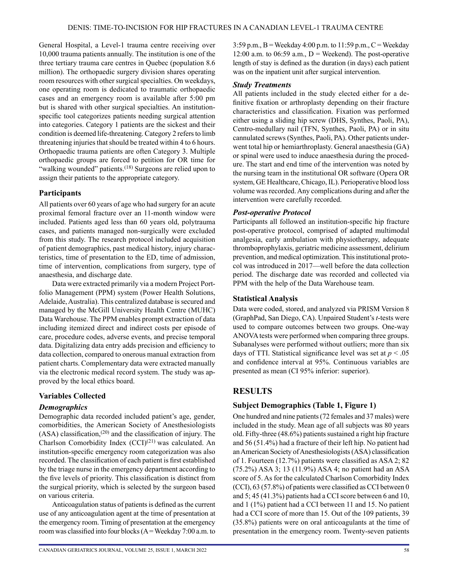General Hospital, a Level-1 trauma centre receiving over 10,000 trauma patients annually. The institution is one of the three tertiary trauma care centres in Quebec (population 8.6 million). The orthopaedic surgery division shares operating room resources with other surgical specialties. On weekdays, one operating room is dedicated to traumatic orthopaedic cases and an emergency room is available after 5:00 pm but is shared with other surgical specialties. An institutionspecific tool categorizes patients needing surgical attention into categories. Category 1 patients are the sickest and their condition is deemed life-threatening. Category 2 refers to limb threatening injuries that should be treated within 4 to 6 hours. Orthopaedic trauma patients are often Category 3. Multiple orthopaedic groups are forced to petition for OR time for "walking wounded" patients.<sup>(18)</sup> Surgeons are relied upon to assign their patients to the appropriate category.

#### **Participants**

All patients over 60 years of age who had surgery for an acute proximal femoral fracture over an 11-month window were included. Patients aged less than 60 years old, polytrauma cases, and patients managed non-surgically were excluded from this study. The research protocol included acquisition of patient demographics, past medical history, injury characteristics, time of presentation to the ED, time of admission, time of intervention, complications from surgery, type of anaesthesia, and discharge date.

Data were extracted primarily via a modern Project Portfolio Management (PPM) system (Power Health Solutions, Adelaide, Australia). This centralized database is secured and managed by the McGill University Health Centre (MUHC) Data Warehouse. The PPM enables prompt extraction of data including itemized direct and indirect costs per episode of care, procedure codes, adverse events, and precise temporal data. Digitalizing data entry adds precision and efficiency to data collection, compared to onerous manual extraction from patient charts. Complementary data were extracted manually via the electronic medical record system. The study was approved by the local ethics board.

## **Variables Collected**

## *Demographics*

Demographic data recorded included patient's age, gender, comorbidities, the American Society of Anesthesiologists  $(ASA)$  classification,<sup>(20)</sup> and the classification of injury. The Charlson Comorbidity Index  $(CCI)^{(21)}$  was calculated. An institution-specific emergency room categorization was also recorded. The classification of each patient is first established by the triage nurse in the emergency department according to the five levels of priority. This classification is distinct from the surgical priority, which is selected by the surgeon based on various criteria.

Anticoagulation status of patients is defined as the current use of any anticoagulation agent at the time of presentation at the emergency room. Timing of presentation at the emergency room was classified into four blocks  $(A = \text{Weekday } 7:00 \text{ a.m. to })$ 

3:59 p.m.,  $B =$  Weekday 4:00 p.m. to 11:59 p.m.,  $C =$  Weekday 12:00 a.m. to 06:59 a.m.,  $D$  = Weekend). The post-operative length of stay is defined as the duration (in days) each patient was on the inpatient unit after surgical intervention.

#### *Study Treatments*

All patients included in the study elected either for a definitive fixation or arthroplasty depending on their fracture characteristics and classification. Fixation was performed either using a sliding hip screw (DHS, Synthes, Paoli, PA), Centro-medullary nail (TFN, Synthes, Paoli, PA) or in situ cannulated screws (Synthes, Paoli, PA). Other patients underwent total hip or hemiarthroplasty. General anaesthesia (GA) or spinal were used to induce anaesthesia during the procedure. The start and end time of the intervention was noted by the nursing team in the institutional OR software (Opera OR system, GE Healthcare, Chicago, IL). Perioperative blood loss volume was recorded. Any complications during and after the intervention were carefully recorded.

## *Post-operative Protocol*

Participants all followed an institution-specific hip fracture post-operative protocol, comprised of adapted multimodal analgesia, early ambulation with physiotherapy, adequate thromboprophylaxis, geriatric medicine assessment, delirium prevention, and medical optimization. This institutional protocol was introduced in 2017—well before the data collection period. The discharge date was recorded and collected via PPM with the help of the Data Warehouse team.

## **Statistical Analysis**

Data were coded, stored, and analyzed via PRISM Version 8 (GraphPad, San Diego, CA). Unpaired Student's *t*-tests were used to compare outcomes between two groups. One-way ANOVA tests were performed when comparing three groups. Subanalyses were performed without outliers; more than six days of TTI. Statistical significance level was set at *p* < .05 and confidence interval at 95%. Continuous variables are presented as mean (CI 95% inferior: superior).

# **RESULTS**

## **Subject Demographics (Table 1, Figure 1)**

One hundred and nine patients (72 females and 37 males) were included in the study. Mean age of all subjects was 80 years old. Fifty-three (48.6%) patients sustained a right hip fracture and 56 (51.4%) had a fracture of their left hip. No patient had an American Society of Anesthesiologists (ASA) classification of 1. Fourteen (12.7%) patients were classified as ASA 2; 82 (75.2%) ASA 3; 13 (11.9%) ASA 4; no patient had an ASA score of 5. As for the calculated Charlson Comorbidity Index (CCI), 63 (57.8%) of patients were classified as CCI between 0 and 5; 45 (41.3%) patients had a CCI score between 6 and 10, and 1 (1%) patient had a CCI between 11 and 15. No patient had a CCI score of more than 15. Out of the 109 patients, 39 (35.8%) patients were on oral anticoagulants at the time of presentation in the emergency room. Twenty-seven patients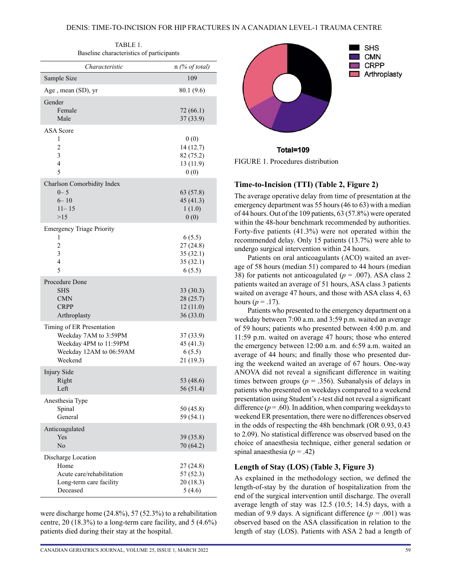| TABLE 1.                                 |  |  |  |  |  |
|------------------------------------------|--|--|--|--|--|
| Baseline characteristics of participants |  |  |  |  |  |

| Characteristic                                                                                                             | $n$ (% of total)                                                               |
|----------------------------------------------------------------------------------------------------------------------------|--------------------------------------------------------------------------------|
| Sample Size                                                                                                                | 109                                                                            |
| Age, mean (SD), yr                                                                                                         | 80.1 (9.6)                                                                     |
| Gender<br>Female<br>Male                                                                                                   | 72 (66.1)<br>37(33.9)                                                          |
| <b>ASA</b> Score<br>1<br>$\overline{c}$<br>$\overline{\mathbf{3}}$<br>$\overline{4}$<br>5                                  | 0(0)<br>14 (12.7)<br>82 (75.2)<br>13 (11.9)<br>0(0)                            |
| Charlson Comorbidity Index<br>$0 - 5$<br>$6 - 10$<br>$11 - 15$<br>>15                                                      | 63(57.8)<br>45 (41.3)<br>1(1.0)<br>0(0)                                        |
| <b>Emergency Triage Priority</b><br>1<br>$\overline{c}$<br>3<br>$\overline{4}$<br>5<br>Procedure Done<br>SHS<br><b>CMN</b> | 6(5.5)<br>27(24.8)<br>35(32.1)<br>35(32.1)<br>6(5.5)<br>33 (30.3)<br>28 (25.7) |
| <b>CRPP</b><br>Arthroplasty                                                                                                | 12(11.0)<br>36(33.0)                                                           |
| Timing of ER Presentation<br>Weekday 7AM to 3:59PM<br>Weekday 4PM to 11:59PM<br>Weekday 12AM to 06:59AM<br>Weekend         | 37 (33.9)<br>45 (41.3)<br>6(5.5)<br>21(19.3)                                   |
| Injury Side<br>Right<br>Left                                                                                               | 53 (48.6)<br>56 (51.4)                                                         |
| Anesthesia Type<br>Spinal<br>General                                                                                       | 50 (45.8)<br>59 (54.1)                                                         |
| Anticoagulated<br>Yes<br>N <sub>o</sub>                                                                                    | 39 (35.8)<br>70 (64.2)                                                         |
| Discharge Location<br>Home<br>Acute care/rehabilitation<br>Long-term care facility<br>Deceased                             | 27(24.8)<br>57(52.3)<br>20(18.3)<br>5(4.6)                                     |

were discharge home (24.8%), 57 (52.3%) to a rehabilitation centre,  $20$  (18.3%) to a long-term care facility, and  $5(4.6\%)$ patients died during their stay at the hospital.



Total=109

FIGURE 1. Procedures distribution

#### **Time-to-Incision (TTI) (Table 2, Figure 2)**

The average operative delay from time of presentation at the emergency department was 55 hours (46 to 63) with a median of 44 hours. Out of the 109 patients, 63 (57.8%) were operated within the 48-hour benchmark recommended by authorities. Forty-five patients (41.3%) were not operated within the recommended delay. Only 15 patients (13.7%) were able to undergo surgical intervention within 24 hours.

Patients on oral anticoagulants (ACO) waited an average of 58 hours (median 51) compared to 44 hours (median 38) for patients not anticoagulated ( $p = .007$ ). ASA class 2 patients waited an average of 51 hours, ASA class 3 patients waited on average 47 hours, and those with ASA class 4, 63 hours ( $p = .17$ ).

Patients who presented to the emergency department on a weekday between 7:00 a.m. and 3:59 p.m. waited an average of 59 hours; patients who presented between 4:00 p.m. and 11:59 p.m. waited on average 47 hours; those who entered the emergency between 12:00 a.m. and 6:59 a.m. waited an average of 44 hours; and finally those who presented during the weekend waited an average of 67 hours. One-way ANOVA did not reveal a significant difference in waiting times between groups ( $p = .356$ ). Subanalysis of delays in patients who presented on weekdays compared to a weekend presentation using Student's *t*-test did not reveal a significant difference  $(p = .60)$ . In addition, when comparing weekdays to weekend ER presentation, there were no differences observed in the odds of respecting the 48h benchmark (OR 0.93, 0.43 to 2.09). No statistical difference was observed based on the choice of anaesthesia technique, either general sedation or spinal anaesthesia ( $p = .42$ )

#### **Length of Stay (LOS) (Table 3, Figure 3)**

As explained in the methodology section, we defined the length-of-stay by the duration of hospitalization from the end of the surgical intervention until discharge. The overall average length of stay was 12.5 (10.5; 14.5) days, with a median of 9.9 days. A significant difference  $(p = .001)$  was observed based on the ASA classification in relation to the length of stay (LOS). Patients with ASA 2 had a length of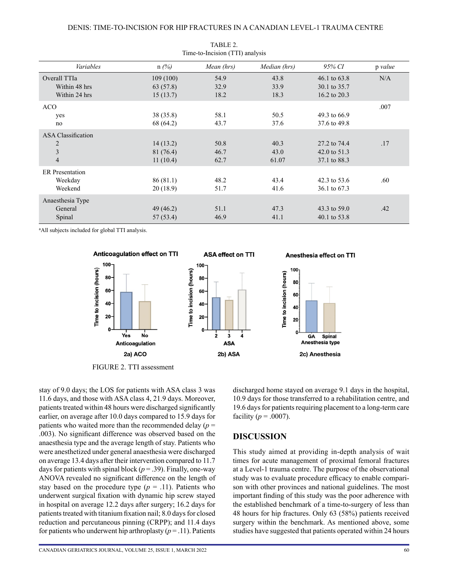| THE-to-Hiciston (111) analysis |           |            |              |                |         |  |  |
|--------------------------------|-----------|------------|--------------|----------------|---------|--|--|
| Variables                      | $n(\%)$   | Mean (hrs) | Median (hrs) | 95% CI         | p value |  |  |
| Overall TTIa                   | 109(100)  | 54.9       | 43.8         | 46.1 to $63.8$ | N/A     |  |  |
| Within 48 hrs                  | 63 (57.8) | 32.9       | 33.9         | 30.1 to 35.7   |         |  |  |
| Within 24 hrs                  | 15(13.7)  | 18.2       | 18.3         | 16.2 to 20.3   |         |  |  |
| <b>ACO</b>                     |           |            |              |                | .007    |  |  |
| yes                            | 38 (35.8) | 58.1       | 50.5         | 49.3 to 66.9   |         |  |  |
| no                             | 68 (64.2) | 43.7       | 37.6         | 37.6 to 49.8   |         |  |  |
| <b>ASA</b> Classification      |           |            |              |                |         |  |  |
| $\overline{c}$                 | 14(13.2)  | 50.8       | 40.3         | 27.2 to 74.4   | .17     |  |  |
| $\mathfrak{Z}$                 | 81 (76.4) | 46.7       | 43.0         | 42.0 to 51.3   |         |  |  |
| $\overline{4}$                 | 11(10.4)  | 62.7       | 61.07        | 37.1 to 88.3   |         |  |  |
| <b>ER</b> Presentation         |           |            |              |                |         |  |  |
| Weekday                        | 86(81.1)  | 48.2       | 43.4         | 42.3 to 53.6   | .60     |  |  |
| Weekend                        | 20(18.9)  | 51.7       | 41.6         | 36.1 to 67.3   |         |  |  |
| Anaesthesia Type               |           |            |              |                |         |  |  |
| General                        | 49 (46.2) | 51.1       | 47.3         | 43.3 to 59.0   | .42     |  |  |
| Spinal                         | 57 (53.4) | 46.9       | 41.1         | 40.1 to 53.8   |         |  |  |

TABLE 2.  $T^*$  and  $T^*$  is included (TTI) and  $T^*$ 

<sup>a</sup>All subjects included for global TTI analysis.



FIGURE 2. TTI assessment

stay of 9.0 days; the LOS for patients with ASA class 3 was 11.6 days, and those with ASA class 4, 21.9 days. Moreover, patients treated within 48 hours were discharged significantly earlier, on average after 10.0 days compared to 15.9 days for patients who waited more than the recommended delay  $(p =$ .003). No significant difference was observed based on the anaesthesia type and the average length of stay. Patients who were anesthetized under general anaesthesia were discharged on average 13.4 days after their intervention compared to 11.7 days for patients with spinal block  $(p = .39)$ . Finally, one-way ANOVA revealed no significant difference on the length of stay based on the procedure type  $(p = .11)$ . Patients who underwent surgical fixation with dynamic hip screw stayed in hospital on average 12.2 days after surgery; 16.2 days for patients treated with titanium fixation nail; 8.0 days for closed reduction and percutaneous pinning (CRPP); and 11.4 days for patients who underwent hip arthroplasty  $(p = .11)$ . Patients

CANADIAN GERIATRICS JOURNAL, VOLUME 25, ISSUE 1, MARCH 2022 60

discharged home stayed on average 9.1 days in the hospital, 10.9 days for those transferred to a rehabilitation centre, and 19.6 days for patients requiring placement to a long-term care facility ( $p = .0007$ ).

# **DISCUSSION**

This study aimed at providing in-depth analysis of wait times for acute management of proximal femoral fractures at a Level-1 trauma centre. The purpose of the observational study was to evaluate procedure efficacy to enable comparison with other provinces and national guidelines. The most important finding of this study was the poor adherence with the established benchmark of a time-to-surgery of less than 48 hours for hip fractures. Only 63 (58%) patients received surgery within the benchmark. As mentioned above, some studies have suggested that patients operated within 24 hours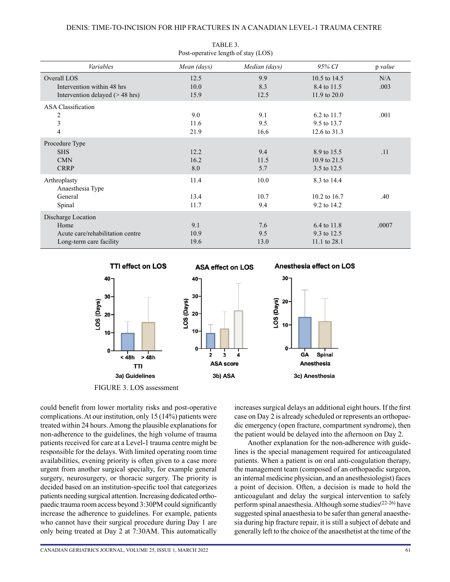| $1000$ operative religious order (1988) |             |               |                |         |  |  |  |  |
|-----------------------------------------|-------------|---------------|----------------|---------|--|--|--|--|
| Variables                               | Mean (days) | Median (days) | 95% CI         | p value |  |  |  |  |
| Overall LOS                             | 12.5        | 9.9           | 10.5 to 14.5   | N/A     |  |  |  |  |
| Intervention within 48 hrs              | 10.0        | 8.3           | 8.4 to 11.5    | .003    |  |  |  |  |
| Intervention delayed $($ > 48 hrs)      | 15.9        | 12.5          | 11.9 to $20.0$ |         |  |  |  |  |
| <b>ASA Classification</b>               |             |               |                |         |  |  |  |  |
| 2                                       | 9.0         | 9.1           | 6.2 to 11.7    | .001    |  |  |  |  |
| $\overline{\mathbf{3}}$                 | 11.6        | 9.5           | 9.5 to 13.7    |         |  |  |  |  |
| 4                                       | 21.9        | 16.6          | 12.6 to 31.3   |         |  |  |  |  |
| Procedure Type                          |             |               |                |         |  |  |  |  |
| <b>SHS</b>                              | 12.2        | 9.4           | 8.9 to 15.5    | .11     |  |  |  |  |
| <b>CMN</b>                              | 16.2        | 11.5          | 10.9 to 21.5   |         |  |  |  |  |
| <b>CRRP</b>                             | 8.0         | 5.7           | 3.5 to 12.5    |         |  |  |  |  |
| Arthroplasty                            | 11.4        | 10.0          | 8.3 to 14.4    |         |  |  |  |  |
| Anaesthesia Type                        |             |               |                |         |  |  |  |  |
| General                                 | 13.4        | 10.7          | 10.2 to 16.7   | .40     |  |  |  |  |
| Spinal                                  | 11.7        | 9.4           | 9.2 to 14.2    |         |  |  |  |  |
| Discharge Location                      |             |               |                |         |  |  |  |  |
| Home                                    | 9.1         | 7.6           | 6.4 to 11.8    | .0007   |  |  |  |  |
| Acute care/rehabilitation centre        | 10.9        | 9.5           | 9.3 to 12.5    |         |  |  |  |  |
| Long-term care facility                 | 19.6        | 13.0          | 11.1 to 28.1   |         |  |  |  |  |

TABLE 3. Post-operative length of stay (LOS)



FIGURE 3. LOS assessment

could benefit from lower mortality risks and post-operative complications. At our institution, only 15 (14%) patients were treated within 24 hours. Among the plausible explanations for non-adherence to the guidelines, the high volume of trauma patients received for care at a Level-1 trauma centre might be responsible for the delays. With limited operating room time availabilities, evening priority is often given to a case more urgent from another surgical specialty, for example general surgery, neurosurgery, or thoracic surgery. The priority is decided based on an institution-specific tool that categorizes patients needing surgical attention. Increasing dedicated orthopaedic trauma room access beyond 3:30PM could significantly increase the adherence to guidelines. For example, patients who cannot have their surgical procedure during Day 1 are only being treated at Day 2 at 7:30AM. This automatically increases surgical delays an additional eight hours. If the first case on Day 2 is already scheduled or represents an orthopaedic emergency (open fracture, compartment syndrome), then the patient would be delayed into the afternoon on Day 2.

Another explanation for the non-adherence with guidelines is the special management required for anticoagulated patients. When a patient is on oral anti-coagulation therapy, the management team (composed of an orthopaedic surgeon, an internal medicine physician, and an anesthesiologist) faces a point of decision. Often, a decision is made to hold the anticoagulant and delay the surgical intervention to safely perform spinal anaesthesia. Although some studies<sup> $(22-26)$ </sup> have suggested spinal anaesthesia to be safer than general anaesthesia during hip fracture repair, it is still a subject of debate and generally left to the choice of the anaesthetist at the time of the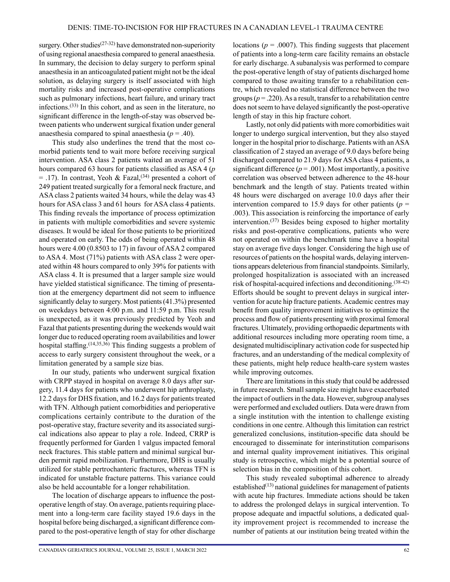surgery. Other studies<sup>(27-32)</sup> have demonstrated non-superiority of using regional anaesthesia compared to general anaesthesia. In summary, the decision to delay surgery to perform spinal anaesthesia in an anticoagulated patient might not be the ideal solution, as delaying surgery is itself associated with high mortality risks and increased post-operative complications such as pulmonary infections, heart failure, and urinary tract infections.(33) In this cohort, and as seen in the literature, no significant difference in the length-of-stay was observed between patients who underwent surgical fixation under general anaesthesia compared to spinal anaesthesia ( $p = .40$ ).

This study also underlines the trend that the most comorbid patients tend to wait more before receiving surgical intervention. ASA class 2 patients waited an average of 51 hours compared 63 hours for patients classified as ASA 4 (*p* = .17). In contrast, Yeoh & Fazal,<sup>(34)</sup> presented a cohort of 249 patient treated surgically for a femoral neck fracture, and ASA class 2 patients waited 34 hours, while the delay was 43 hours for ASA class 3 and 61 hours for ASA class 4 patients. This finding reveals the importance of process optimization in patients with multiple comorbidities and severe systemic diseases. It would be ideal for those patients to be prioritized and operated on early. The odds of being operated within 48 hours were 4.00 (0.8503 to 17) in favour of ASA 2 compared to ASA 4. Most (71%) patients with ASA class 2 were operated within 48 hours compared to only 39% for patients with ASA class 4. It is presumed that a larger sample size would have yielded statistical significance. The timing of presentation at the emergency department did not seem to influence significantly delay to surgery. Most patients (41.3%) presented on weekdays between 4:00 p.m. and 11:59 p.m. This result is unexpected, as it was previously predicted by Yeoh and Fazal that patients presenting during the weekends would wait longer due to reduced operating room availabilities and lower hospital staffing.<sup>(14,35,36)</sup> This finding suggests a problem of access to early surgery consistent throughout the week, or a limitation generated by a sample size bias.

In our study, patients who underwent surgical fixation with CRPP stayed in hospital on average 8.0 days after surgery, 11.4 days for patients who underwent hip arthroplasty, 12.2 days for DHS fixation, and 16.2 days for patients treated with TFN. Although patient comorbidities and perioperative complications certainly contribute to the duration of the post-operative stay, fracture severity and its associated surgical indications also appear to play a role. Indeed, CRRP is frequently performed for Garden 1 valgus impacted femoral neck fractures. This stable pattern and minimal surgical burden permit rapid mobilization. Furthermore, DHS is usually utilized for stable pertrochanteric fractures, whereas TFN is indicated for unstable fracture patterns. This variance could also be held accountable for a longer rehabilitation.

The location of discharge appears to influence the postoperative length of stay. On average, patients requiring placement into a long-term care facility stayed 19.6 days in the hospital before being discharged, a significant difference compared to the post-operative length of stay for other discharge locations ( $p = .0007$ ). This finding suggests that placement of patients into a long-term care facility remains an obstacle for early discharge. A subanalysis was performed to compare the post-operative length of stay of patients discharged home compared to those awaiting transfer to a rehabilitation centre, which revealed no statistical difference between the two groups  $(p = .220)$ . As a result, transfer to a rehabilitation centre does not seem to have delayed significantly the post-operative length of stay in this hip fracture cohort.

Lastly, not only did patients with more comorbidities wait longer to undergo surgical intervention, but they also stayed longer in the hospital prior to discharge. Patients with an ASA classification of 2 stayed an average of 9.0 days before being discharged compared to 21.9 days for ASA class 4 patients, a significant difference  $(p = .001)$ . Most importantly, a positive correlation was observed between adherence to the 48-hour benchmark and the length of stay. Patients treated within 48 hours were discharged on average 10.0 days after their intervention compared to 15.9 days for other patients ( $p =$ .003). This association is reinforcing the importance of early intervention.(37) Besides being exposed to higher mortality risks and post-operative complications, patients who were not operated on within the benchmark time have a hospital stay on average five days longer. Considering the high use of resources of patients on the hospital wards, delaying interventions appears deleterious from financial standpoints. Similarly, prolonged hospitalization is associated with an increased risk of hospital-acquired infections and deconditioning.(38-42) Efforts should be sought to prevent delays in surgical intervention for acute hip fracture patients. Academic centres may benefit from quality improvement initiatives to optimize the process and flow of patients presenting with proximal femoral fractures. Ultimately, providing orthopaedic departments with additional resources including more operating room time, a designated multidisciplinary activation code for suspected hip fractures, and an understanding of the medical complexity of these patients, might help reduce health-care system wastes while improving outcomes.

There are limitations in this study that could be addressed in future research. Small sample size might have exacerbated the impact of outliers in the data. However, subgroup analyses were performed and excluded outliers. Data were drawn from a single institution with the intention to challenge existing conditions in one centre. Although this limitation can restrict generalized conclusions, institution-specific data should be encouraged to disseminate for interinstitution comparisons and internal quality improvement initiatives. This original study is retrospective, which might be a potential source of selection bias in the composition of this cohort.

This study revealed suboptimal adherence to already established $(13)$  national guidelines for management of patients with acute hip fractures. Immediate actions should be taken to address the prolonged delays in surgical intervention. To propose adequate and impactful solutions, a dedicated quality improvement project is recommended to increase the number of patients at our institution being treated within the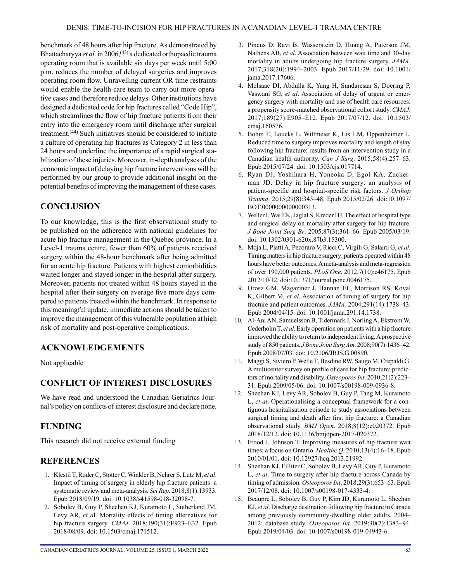benchmark of 48 hours after hip fracture. As demonstrated by Bhattacharyya et al. in 2006,<sup>(43)</sup> a dedicated orthopaedic trauma operating room that is available six days per week until 5:00 p.m. reduces the number of delayed surgeries and improves operating room flow. Unravelling current OR time restraints would enable the health-care team to carry out more operative cases and therefore reduce delays. Other institutions have designed a dedicated code for hip fractures called "Code Hip", which streamlines the flow of hip fracture patients from their entry into the emergency room until discharge after surgical treatment.(44) Such initiatives should be considered to initiate a culture of operating hip fractures as Category 2 in less than 24 hours and underline the importance of a rapid surgical stabilization of these injuries. Moreover, in-depth analyses of the economic impact of delaying hip fracture interventions will be performed by our group to provide additional insight on the potential benefits of improving the management of these cases.

# **CONCLUSION**

To our knowledge, this is the first observational study to be published on the adherence with national guidelines for acute hip fracture management in the Quebec province. In a Level-1 trauma centre, fewer than 60% of patients received surgery within the 48-hour benchmark after being admitted for an acute hip fracture. Patients with highest comorbidities waited longer and stayed longer in the hospital after surgery. Moreover, patients not treated within 48 hours stayed in the hospital after their surgery on average five more days compared to patients treated within the benchmark. In response to this meaningful update, immediate actions should be taken to improve the management of this vulnerable population at high risk of mortality and post-operative complications.

# **ACKNOWLEDGEMENTS**

Not applicable

# **CONFLICT OF INTEREST DISCLOSURES**

We have read and understood the Canadian Geriatrics Journal's policy on conflicts of interest disclosure and declare none.

# **FUNDING**

This research did not receive external funding

# **REFERENCES**

- 1. Klestil T, Roder C, Stotter C, Winkler B, Nehrer S, Lutz M, *et al*. Impact of timing of surgery in elderly hip fracture patients: a systematic review and meta-analysis. *Sci Rep*. 2018;8(1):13933. Epub 2018/09/19. doi: 10.1038/s41598-018-32098-7.
- 2. Sobolev B, Guy P, Sheehan KJ, Kuramoto L, Sutherland JM, Levy AR, *et a*l. Mortality effects of timing alternatives for hip fracture surgery. *CMAJ.* 2018;190(31):E923–E32. Epub 2018/08/09. doi: 10.1503/cmaj.171512.
- 3. Pincus D, Ravi B, Wasserstein D, Huang A, Paterson JM, Nathens AB, *et al*. Association between wait time and 30-day mortality in adults undergoing hip fracture surgery. *JAMA*. 2017;318(20):1994–2003. Epub 2017/11/29. doi: 10.1001/ jama.2017.17606.
- 4. McIsaac DI, Abdulla K, Yang H, Sundaresan S, Doering P, Vaswani SG, *et al*. Association of delay of urgent or emergency surgery with mortality and use of health care resources: a propensity score-matched observational cohort study. *CMAJ*. 2017;189(27):E905–E12. Epub 2017/07/12. doi: 10.1503/ cmaj.160576.
- 5. Bohm E, Loucks L, Wittmeier K, Lix LM, Oppenheimer L. Reduced time to surgery improves mortality and length of stay following hip fracture: results from an intervention study in a Canadian health authority. *Can J Surg*. 2015;58(4):257–63. Epub 2015/07/24. doi: 10.1503/cjs.017714.
- 6. Ryan DJ, Yoshihara H, Yoneoka D, Egol KA, Zuckerman JD. Delay in hip fracture surgery: an analysis of patient-specific and hospital-specific risk factors. *J Orthop Trauma*. 2015;29(8):343–48. Epub 2015/02/26. doi:10.1097/ BOT.0000000000000313.
- 7. Weller I, Wai EK, Jaglal S, Kreder HJ. The effect of hospital type and surgical delay on mortality after surgery for hip fracture. *J Bone Joint Surg Br*. 2005;87(3):361–66. Epub 2005/03/19. doi: 10.1302/0301-620x.87b3.15300.
- 8. Moja L, Piatti A, Pecoraro V, Ricci C, Virgili G, Salanti G, *et al*. Timing matters in hip fracture surgery: patients operated within 48 hours have better outcomes. A meta-analysis and meta-regression of over 190,000 patients. *PLoS One*. 2012;7(10):e46175. Epub 2012/10/12. doi:10.1371/journal.pone.0046175.
- 9. Orosz GM, Magaziner J, Hannan EL, Morrison RS, Koval K, Gilbert M, *et al*. Association of timing of surgery for hip fracture and patient outcomes. *JAMA*. 2004;291(14):1738–43. Epub 2004/04/15. doi: 10.1001/jama.291.14.1738.
- 10. Al-Ani AN, Samuelsson B, Tidermark J, Norling A, Ekstrom W, Cederholm T, *et al*. Early operation on patients with a hip fracture improved the ability to return to independent living. A prospective study of 850 patients. *J Bone Joint Surg Am*. 2008;90(7):1436–42. Epub 2008/07/03. doi: 10.2106/JBJS.G.00890.
- 11. Maggi S, Siviero P, Wetle T, Besdine RW, Saugo M, Crepaldi G. A multicenter survey on profile of care for hip fracture: predictors of mortality and disability. *Osteoporos Int*. 2010;21(2):223– 31. Epub 2009/05/06. doi: 10.1007/s00198-009-0936-8.
- 12. Sheehan KJ, Levy AR, Sobolev B, Guy P, Tang M, Kuramoto L, *et al*. Operationalising a conceptual framework for a contiguous hospitalisation episode to study associations between surgical timing and death after first hip fracture: a Canadian observational study. *BMJ Open*. 2018;8(12):e020372. Epub 2018/12/12. doi: 10.1136/bmjopen-2017-020372.
- 13. Frood J, Johnson T. Improving measures of hip fracture wait times: a focus on Ontario. *Healthc Q*. 2010;13(4):16–18. Epub 2010/01/01. doi: 10.12927/hcq.2013.21992.
- 14. Sheehan KJ, Filliter C, Sobolev B, Levy AR, Guy P, Kuramoto L, *et al*. Time to surgery after hip fracture across Canada by timing of admission. *Osteoporos Int*. 2018;29(3):653–63. Epub 2017/12/08. doi: 10.1007/s00198-017-4333-4.
- 15. Beaupre L, Sobolev B, Guy P, Kim JD, Kuramoto L, Sheehan KJ, *et al*. Discharge destination following hip fracture in Canada among previously community-dwelling older adults, 2004– 2012: database study. *Osteoporos Int*. 2019;30(7):1383–94. Epub 2019/04/03. doi: 10.1007/s00198-019-04943-6.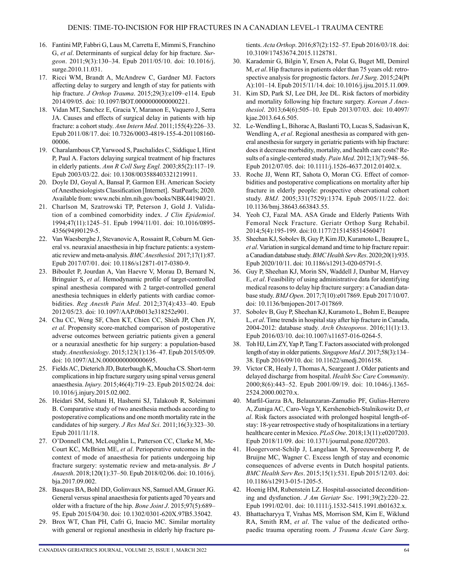- 16. Fantini MP, Fabbri G, Laus M, Carretta E, Mimmi S, Franchino G, *et al*. Determinants of surgical delay for hip fracture. *Surgeon*. 2011;9(3):130–34. Epub 2011/05/10. doi: 10.1016/j. surge.2010.11.031.
- 17. Ricci WM, Brandt A, McAndrew C, Gardner MJ. Factors affecting delay to surgery and length of stay for patients with hip fracture. *J Orthop Trauma*. 2015;29(3):e109–e114. Epub 2014/09/05. doi: 10.1097/BOT.0000000000000221.
- 18. Vidan MT, Sanchez E, Gracia Y, Maranon E, Vaquero J, Serra JA. Causes and effects of surgical delay in patients with hip fracture: a cohort study. *Ann Intern Med*. 2011;155(4):226–33. Epub 2011/08/17. doi: 10.7326/0003-4819-155-4-201108160- 00006.
- 19. Charalambous CP, Yarwood S, Paschalides C, Siddique I, Hirst P, Paul A. Factors delaying surgical treatment of hip fractures in elderly patients. *Ann R Coll Surg Engl.* 2003;85(2):117–19. Epub 2003/03/22. doi: 10.1308/003588403321219911.
- 20. Doyle DJ, Goyal A, Bansal P, Garmon EH. American Society of Anesthesiologists Classification [Internet]. StatPearls; 2020. Available from: [www.ncbi.nlm.nih.gov/books/NBK441940/21](http://www.ncbi.nlm.nih.gov/books/NBK441940/21).
- 21. Charlson M, Szatrowski TP, Peterson J, Gold J. Validation of a combined comorbidity index. *J Clin Epidemiol*. 1994;47(11):1245–51. Epub 1994/11/01. doi: 10.1016/0895- 4356(94)90129-5.
- 22. Van Waesberghe J, Stevanovic A, Rossaint R, Coburn M. General vs. neuraxial anaesthesia in hip fracture patients: a systematic review and meta-analysis. *BMC Anesthesiol.* 2017;17(1):87. Epub 2017/07/01. doi: 10.1186/s12871-017-0380-9.
- 23. Biboulet P, Jourdan A, Van Haevre V, Morau D, Bernard N, Bringuier S, *et al*. Hemodynamic profile of target-controlled spinal anesthesia compared with 2 target-controlled general anesthesia techniques in elderly patients with cardiac comorbidities. *Reg Anesth Pain Med*. 2012;37(4):433–40. Epub 2012/05/23. doi: 10.1097/AAP.0b013e318252e901.
- 24. Chu CC, Weng SF, Chen KT, Chien CC, Shieh JP, Chen JY, *et al*. Propensity score-matched comparison of postoperative adverse outcomes between geriatric patients given a general or a neuraxial anesthetic for hip surgery: a population-based study. *Anesthesiology*. 2015;123(1):136–47. Epub 2015/05/09. doi: 10.1097/ALN.0000000000000695.
- 25. Fields AC, Dieterich JD, Buterbaugh K, Moucha CS. Short-term complications in hip fracture surgery using spinal versus general anaesthesia. *Injury.* 2015;46(4):719–23. Epub 2015/02/24. doi: 10.1016/j.injury.2015.02.002.
- 26. Heidari SM, Soltani H, Hashemi SJ, Talakoub R, Soleimani B. Comparative study of two anesthesia methods according to postoperative complications and one month mortality rate in the candidates of hip surgery. *J Res Med Sci*. 2011;16(3):323–30. Epub 2011/11/18.
- 27. O'Donnell CM, McLoughlin L, Patterson CC, Clarke M, Mc-Court KC, McBrien ME, *et al*. Perioperative outcomes in the context of mode of anaesthesia for patients undergoing hip fracture surgery: systematic review and meta-analysis. *Br J Anaesth*. 2018;120(1):37–50. Epub 2018/02/06. doi: 10.1016/j. bja.2017.09.002.
- 28. Basques BA, Bohl DD, Golinvaux NS, Samuel AM, Grauer JG. General versus spinal anaesthesia for patients aged 70 years and older with a fracture of the hip. *Bone Joint J*. 2015;97(5):689– 95. Epub 2015/04/30. doi: 10.1302/0301-620X.97B5.35042.
- 29. Brox WT, Chan PH, Cafri G, Inacio MC. Similar mortality with general or regional anesthesia in elderly hip fracture pa-

tients. *Acta Orthop*. 2016;87(2):152–57. Epub 2016/03/18. doi: 10.3109/17453674.2015.1128781.

- 30. Karademir G, Bilgin Y, Ersen A, Polat G, Buget MI, Demirel M, *et al*. Hip fractures in patients older than 75 years old: retrospective analysis for prognostic factors. *Int J Surg*. 2015;24(Pt A):101–14. Epub 2015/11/14. doi: 10.1016/j.ijsu.2015.11.009.
- 31. Kim SD, Park SJ, Lee DH, Jee DL. Risk factors of morbidity and mortality following hip fracture surgery. *Korean J Anesthesiol*. 2013;64(6):505–10. Epub 2013/07/03. doi: 10.4097/ kjae.2013.64.6.505.
- 32. Le-Wendling L, Bihorac A, Baslanti TO, Lucas S, Sadasivan K, Wendling A, *et al*. Regional anesthesia as compared with general anesthesia for surgery in geriatric patients with hip fracture: does it decrease morbidity, mortality, and health care costs? Results of a single-centered study. *Pain Med*. 2012;13(7):948–56. Epub 2012/07/05. doi: 10.1111/j.1526-4637.2012.01402.x.
- 33. Roche JJ, Wenn RT, Sahota O, Moran CG. Effect of comorbidities and postoperative complications on mortality after hip fracture in elderly people: prospective observational cohort study. *BMJ.* 2005;331(7529):1374. Epub 2005/11/22. doi: 10.1136/bmj.38643.663843.55.
- 34. Yeoh CJ, Fazal MA. ASA Grade and Elderly Patients With Femoral Neck Fracture. Geriatr Orthop Surg Rehabil. 2014;5(4):195-199. doi:10.1177/2151458514560471
- 35. Sheehan KJ, Sobolev B, Guy P, Kim JD, Kuramoto L, Beaupre L, *et al*. Variation in surgical demand and time to hip fracture repair: a Canadian database study. *BMC Health Serv Res*. 2020;20(1):935. Epub 2020/10/11. doi: 10.1186/s12913-020-05791-5.
- 36. Guy P, Sheehan KJ, Morin SN, Waddell J, Dunbar M, Harvey E, *et al*. Feasibility of using administrative data for identifying medical reasons to delay hip fracture surgery: a Canadian database study. *BMJ Open*. 2017;7(10):e017869. Epub 2017/10/07. doi: 10.1136/bmjopen-2017-017869.
- 37. Sobolev B, Guy P, Sheehan KJ, Kuramoto L, Bohm E, Beaupre L, *et al*. Time trends in hospital stay after hip fracture in Canada, 2004-2012: database study. *Arch Osteoporos*. 2016;11(1):13. Epub 2016/03/10. doi:10.1007/s11657-016-0264-5.
- 38. Toh HJ, Lim ZY, Yap P, Tang T. Factors associated with prolonged length of stay in older patients. *Singapore Med J*. 2017;58(3):134– 38. Epub 2016/09/10. doi: 10.11622/smedj.2016158.
- 39. Victor CR, Healy J, Thomas A, Seargeant J. Older patients and delayed discharge from hospital. *Health Soc Care Community*. 2000;8(6):443–52. Epub 2001/09/19. doi: 10.1046/j.1365- 2524.2000.00270.x.
- 40. Marfil-Garza BA, Belaunzaran-Zamudio PF, Gulias-Herrero A, Zuniga AC, Caro-Vega Y, Kershenobich-Stalnikowitz D, *et al*. Risk factors associated with prolonged hospital length-ofstay: 18-year retrospective study of hospitalizations in a tertiary healthcare center in Mexico. *PLoS One*. 2018;13(11):e0207203. Epub 2018/11/09. doi: 10.1371/journal.pone.0207203.
- 41. Hoogervorst-Schilp J, Langelaan M, Spreeuwenberg P, de Bruijne MC, Wagner C. Excess length of stay and economic consequences of adverse events in Dutch hospital patients. *BMC Health Serv Res*. 2015;15(1):531. Epub 2015/12/03. doi: 10.1186/s12913-015-1205-5.
- 42. Hoenig HM, Rubenstein LZ. Hospital-associated deconditioning and dysfunction. *J Am Geriatr Soc*. 1991;39(2):220–22. Epub 1991/02/01. doi: 10.1111/j.1532-5415.1991.tb01632.x.
- 43. Bhattacharyya T, Vrahas MS, Morrison SM, Kim E, Wiklund RA, Smith RM, *et al*. The value of the dedicated orthopaedic trauma operating room. *J Trauma Acute Care Surg*.